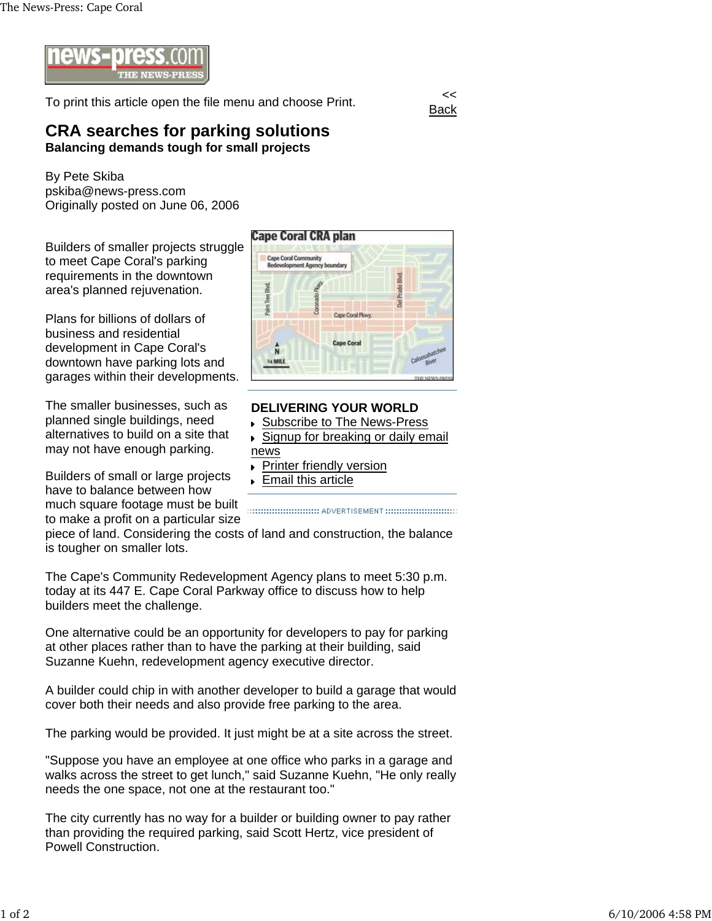

To print this article open the file menu and choose Print.

**Back** 

## **CRA searches for parking solutions Balancing demands tough for small projects**

By Pete Skiba pskiba@news-press.com Originally posted on June 06, 2006

Builders of smaller projects struggle to meet Cape Coral's parking requirements in the downtown area's planned rejuvenation.

Plans for billions of dollars of business and residential development in Cape Coral's downtown have parking lots and garages within their developments.

The smaller businesses, such as planned single buildings, need alternatives to build on a site that may not have enough parking.

Builders of small or large projects have to balance between how much square footage must be built to make a profit on a particular size



## **DELIVERING YOUR WORLD**

- Subscribe to The News-Press
- ▶ Signup for breaking or daily email news
- Printer friendly version ¥
- **Email this article**

piece of land. Considering the costs of land and construction, the balance is tougher on smaller lots.

The Cape's Community Redevelopment Agency plans to meet 5:30 p.m. today at its 447 E. Cape Coral Parkway office to discuss how to help builders meet the challenge.

One alternative could be an opportunity for developers to pay for parking at other places rather than to have the parking at their building, said Suzanne Kuehn, redevelopment agency executive director.

A builder could chip in with another developer to build a garage that would cover both their needs and also provide free parking to the area.

The parking would be provided. It just might be at a site across the street.

"Suppose you have an employee at one office who parks in a garage and walks across the street to get lunch," said Suzanne Kuehn, "He only really needs the one space, not one at the restaurant too."

The city currently has no way for a builder or building owner to pay rather than providing the required parking, said Scott Hertz, vice president of Powell Construction.